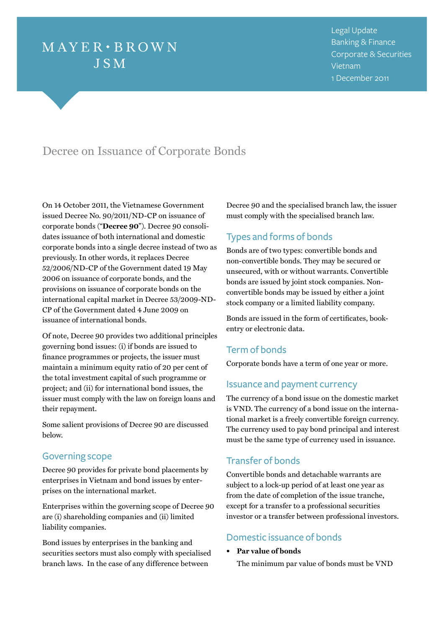# $MAYER \cdot BROWN$ **JSM**

Legal Update Banking & Finance Corporate & Securities Vietnam 1 December 2011

# Decree on Issuance of Corporate Bonds

On 14 October 2011, the Vietnamese Government issued Decree No. 90/2011/ND-CP on issuance of corporate bonds ("**Decree 90**"). Decree 90 consolidates issuance of both international and domestic corporate bonds into a single decree instead of two as previously. In other words, it replaces Decree 52/2006/ND-CP of the Government dated 19 May 2006 on issuance of corporate bonds, and the provisions on issuance of corporate bonds on the international capital market in Decree 53/2009-ND-CP of the Government dated 4 June 2009 on issuance of international bonds.

Of note, Decree 90 provides two additional principles governing bond issues: (i) if bonds are issued to finance programmes or projects, the issuer must maintain a minimum equity ratio of 20 per cent of the total investment capital of such programme or project; and (ii) for international bond issues, the issuer must comply with the law on foreign loans and their repayment.

Some salient provisions of Decree 90 are discussed below.

### Governing scope

Decree 90 provides for private bond placements by enterprises in Vietnam and bond issues by enterprises on the international market.

Enterprises within the governing scope of Decree 90 are (i) shareholding companies and (ii) limited liability companies.

Bond issues by enterprises in the banking and securities sectors must also comply with specialised branch laws. In the case of any difference between

Decree 90 and the specialised branch law, the issuer must comply with the specialised branch law.

## Types and forms of bonds

Bonds are of two types: convertible bonds and non-convertible bonds. They may be secured or unsecured, with or without warrants. Convertible bonds are issued by joint stock companies. Nonconvertible bonds may be issued by either a joint stock company or a limited liability company.

Bonds are issued in the form of certificates, bookentry or electronic data.

### Term of bonds

Corporate bonds have a term of one year or more.

### Issuance and payment currency

The currency of a bond issue on the domestic market is VND. The currency of a bond issue on the international market is a freely convertible foreign currency. The currency used to pay bond principal and interest must be the same type of currency used in issuance.

### Transfer of bonds

Convertible bonds and detachable warrants are subject to a lock-up period of at least one year as from the date of completion of the issue tranche, except for a transfer to a professional securities investor or a transfer between professional investors.

# Domestic issuance of bonds

**• Par value of bonds**

The minimum par value of bonds must be VND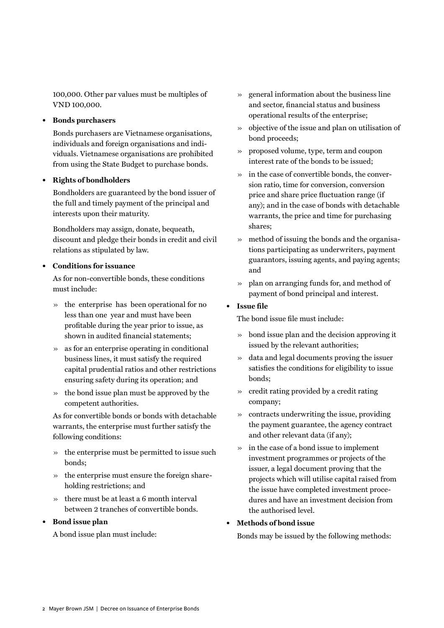100,000. Other par values must be multiples of VND 100,000.

#### **• Bonds purchasers**

Bonds purchasers are Vietnamese organisations, individuals and foreign organisations and individuals. Vietnamese organisations are prohibited from using the State Budget to purchase bonds.

#### **• Rights of bondholders**

Bondholders are guaranteed by the bond issuer of the full and timely payment of the principal and interests upon their maturity.

Bondholders may assign, donate, bequeath, discount and pledge their bonds in credit and civil relations as stipulated by law.

#### **Conditions for issuance**

As for non-convertible bonds, these conditions must include:

- » the enterprise has been operational for no less than one year and must have been profitable during the year prior to issue, as shown in audited financial statements;
- » as for an enterprise operating in conditional business lines, it must satisfy the required capital prudential ratios and other restrictions ensuring safety during its operation; and
- » the bond issue plan must be approved by the competent authorities.

As for convertible bonds or bonds with detachable warrants, the enterprise must further satisfy the following conditions:

- » the enterprise must be permitted to issue such bonds;
- » the enterprise must ensure the foreign shareholding restrictions; and
- » there must be at least a 6 month interval between 2 tranches of convertible bonds.

#### **• Bond issue plan**

A bond issue plan must include:

- » general information about the business line and sector, financial status and business operational results of the enterprise;
- » objective of the issue and plan on utilisation of bond proceeds;
- » proposed volume, type, term and coupon interest rate of the bonds to be issued;
- » in the case of convertible bonds, the conversion ratio, time for conversion, conversion price and share price fluctuation range (if any); and in the case of bonds with detachable warrants, the price and time for purchasing shares;
- » method of issuing the bonds and the organisations participating as underwriters, payment guarantors, issuing agents, and paying agents; and
- » plan on arranging funds for, and method of payment of bond principal and interest.

#### **• Issue file**

The bond issue file must include:

- » bond issue plan and the decision approving it issued by the relevant authorities;
- » data and legal documents proving the issuer satisfies the conditions for eligibility to issue bonds;
- » credit rating provided by a credit rating company;
- » contracts underwriting the issue, providing the payment guarantee, the agency contract and other relevant data (if any);
- » in the case of a bond issue to implement investment programmes or projects of the issuer, a legal document proving that the projects which will utilise capital raised from the issue have completed investment procedures and have an investment decision from the authorised level.
- **• Methods of bond issue**

Bonds may be issued by the following methods: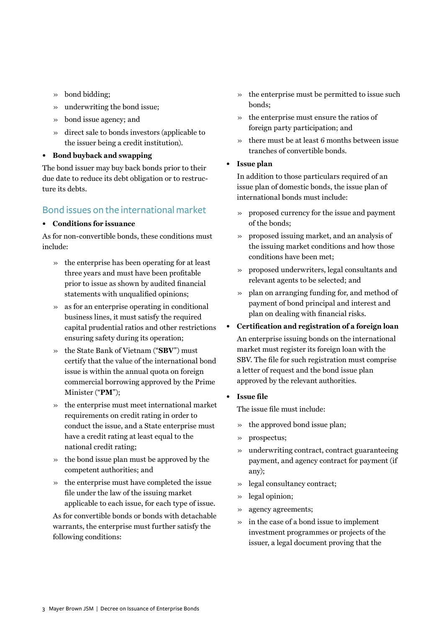- » bond bidding;
- » underwriting the bond issue;
- » bond issue agency; and
- » direct sale to bonds investors (applicable to the issuer being a credit institution).
- **• Bond buyback and swapping**

The bond issuer may buy back bonds prior to their due date to reduce its debt obligation or to restructure its debts.

# Bond issues on the international market

### **• Conditions for issuance**

As for non-convertible bonds, these conditions must include:

- » the enterprise has been operating for at least three years and must have been profitable prior to issue as shown by audited financial statements with unqualified opinions;
- » as for an enterprise operating in conditional business lines, it must satisfy the required capital prudential ratios and other restrictions ensuring safety during its operation;
- » the State Bank of Vietnam ("**SBV**") must certify that the value of the international bond issue is within the annual quota on foreign commercial borrowing approved by the Prime Minister ("**PM**");
- » the enterprise must meet international market requirements on credit rating in order to conduct the issue, and a State enterprise must have a credit rating at least equal to the national credit rating;
- » the bond issue plan must be approved by the competent authorities; and
- » the enterprise must have completed the issue file under the law of the issuing market applicable to each issue, for each type of issue.

As for convertible bonds or bonds with detachable warrants, the enterprise must further satisfy the following conditions:

- » the enterprise must be permitted to issue such bonds;
- » the enterprise must ensure the ratios of foreign party participation; and
- » there must be at least 6 months between issue tranches of convertible bonds.
- **• Issue plan**

In addition to those particulars required of an issue plan of domestic bonds, the issue plan of international bonds must include:

- » proposed currency for the issue and payment of the bonds;
- » proposed issuing market, and an analysis of the issuing market conditions and how those conditions have been met;
- » proposed underwriters, legal consultants and relevant agents to be selected; and
- » plan on arranging funding for, and method of payment of bond principal and interest and plan on dealing with financial risks.
- **• Certification and registration of a foreign loan** An enterprise issuing bonds on the international market must register its foreign loan with the SBV. The file for such registration must comprise a letter of request and the bond issue plan approved by the relevant authorities.
- **• Issue file**

The issue file must include:

- » the approved bond issue plan;
- » prospectus;
- » underwriting contract, contract guaranteeing payment, and agency contract for payment (if any);
- » legal consultancy contract;
- » legal opinion;
- » agency agreements;
- » in the case of a bond issue to implement investment programmes or projects of the issuer, a legal document proving that the